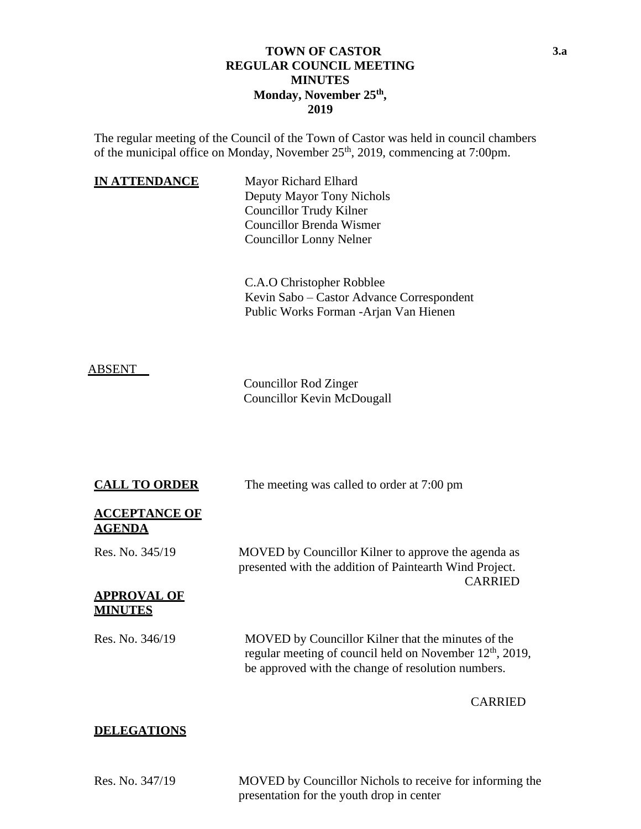#### **TOWN OF CASTOR REGULAR COUNCIL MEETING MINUTES Monday, November 25th , 2019**

The regular meeting of the Council of the Town of Castor was held in council chambers of the municipal office on Monday, November 25<sup>th</sup>, 2019, commencing at 7:00pm.

**IN ATTENDANCE** Mayor Richard Elhard Deputy Mayor Tony Nichols Councillor Trudy Kilner Councillor Brenda Wismer Councillor Lonny Nelner

> C.A.O Christopher Robblee Kevin Sabo – Castor Advance Correspondent Public Works Forman -Arjan Van Hienen

#### ABSENT

Councillor Rod Zinger Councillor Kevin McDougall

| <b>CALL TO ORDER</b>                  | The meeting was called to order at 7:00 pm                                                                                                                                       |  |
|---------------------------------------|----------------------------------------------------------------------------------------------------------------------------------------------------------------------------------|--|
| <b>ACCEPTANCE OF</b><br><u>AGENDA</u> |                                                                                                                                                                                  |  |
| Res. No. 345/19                       | MOVED by Councillor Kilner to approve the agenda as<br>presented with the addition of Paintearth Wind Project.<br><b>CARRIED</b>                                                 |  |
| <b>APPROVAL OF</b><br><b>MINUTES</b>  |                                                                                                                                                                                  |  |
| Res. No. 346/19                       | MOVED by Councillor Kilner that the minutes of the<br>regular meeting of council held on November 12 <sup>th</sup> , 2019,<br>be approved with the change of resolution numbers. |  |
|                                       | <b>CARRIED</b>                                                                                                                                                                   |  |
| <b>DELEGATIONS</b>                    |                                                                                                                                                                                  |  |
| Res. No. 347/19                       | MOVED by Councillor Nichols to receive for informing the                                                                                                                         |  |

presentation for the youth drop in center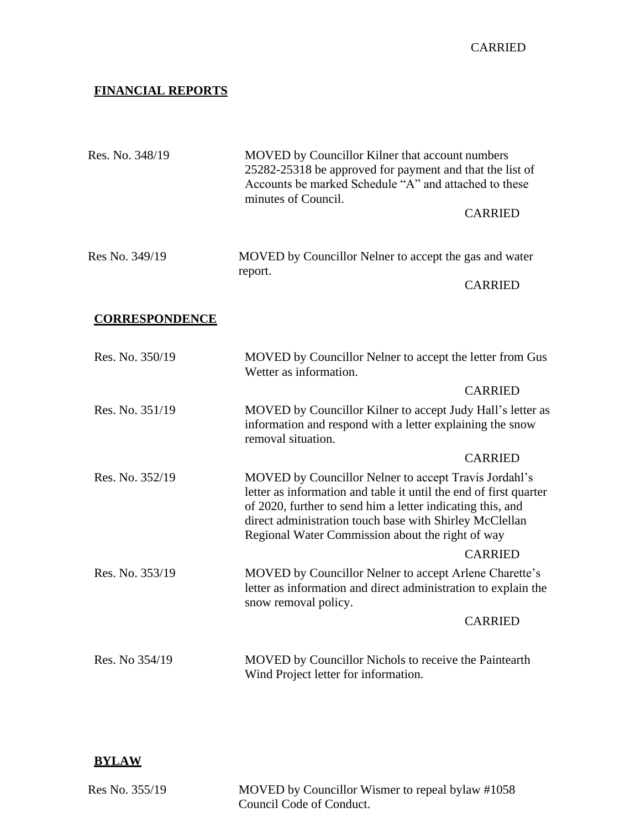## **FINANCIAL REPORTS**

| Res. No. 348/19       | MOVED by Councillor Kilner that account numbers<br>25282-25318 be approved for payment and that the list of<br>Accounts be marked Schedule "A" and attached to these<br>minutes of Council.<br><b>CARRIED</b>                                                                                           |  |
|-----------------------|---------------------------------------------------------------------------------------------------------------------------------------------------------------------------------------------------------------------------------------------------------------------------------------------------------|--|
| Res No. 349/19        | MOVED by Councillor Nelner to accept the gas and water<br>report.                                                                                                                                                                                                                                       |  |
|                       | <b>CARRIED</b>                                                                                                                                                                                                                                                                                          |  |
| <b>CORRESPONDENCE</b> |                                                                                                                                                                                                                                                                                                         |  |
| Res. No. 350/19       | MOVED by Councillor Nelner to accept the letter from Gus<br>Wetter as information.                                                                                                                                                                                                                      |  |
|                       | <b>CARRIED</b>                                                                                                                                                                                                                                                                                          |  |
| Res. No. 351/19       | MOVED by Councillor Kilner to accept Judy Hall's letter as<br>information and respond with a letter explaining the snow<br>removal situation.                                                                                                                                                           |  |
|                       | <b>CARRIED</b>                                                                                                                                                                                                                                                                                          |  |
| Res. No. 352/19       | MOVED by Councillor Nelner to accept Travis Jordahl's<br>letter as information and table it until the end of first quarter<br>of 2020, further to send him a letter indicating this, and<br>direct administration touch base with Shirley McClellan<br>Regional Water Commission about the right of way |  |
|                       | <b>CARRIED</b>                                                                                                                                                                                                                                                                                          |  |
| Res. No. 353/19       | MOVED by Councillor Nelner to accept Arlene Charette's<br>letter as information and direct administration to explain the<br>snow removal policy.                                                                                                                                                        |  |
|                       | <b>CARRIED</b>                                                                                                                                                                                                                                                                                          |  |
| Res. No 354/19        | MOVED by Councillor Nichols to receive the Paintearth<br>Wind Project letter for information.                                                                                                                                                                                                           |  |

### **BYLAW**

| Res No. 355/19 | MOVED by Councillor Wismer to repeal bylaw #1058 |
|----------------|--------------------------------------------------|
|                | Council Code of Conduct.                         |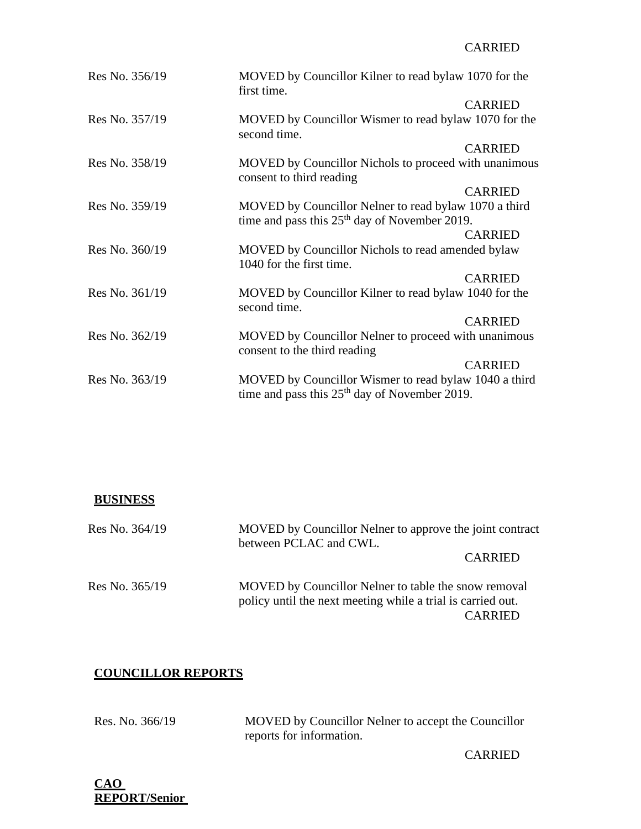| Res No. 356/19 | MOVED by Councillor Kilner to read bylaw 1070 for the<br>first time.                                               |
|----------------|--------------------------------------------------------------------------------------------------------------------|
|                | <b>CARRIED</b>                                                                                                     |
| Res No. 357/19 | MOVED by Councillor Wismer to read bylaw 1070 for the<br>second time.                                              |
|                | <b>CARRIED</b>                                                                                                     |
| Res No. 358/19 | MOVED by Councillor Nichols to proceed with unanimous<br>consent to third reading                                  |
|                | <b>CARRIED</b>                                                                                                     |
| Res No. 359/19 | MOVED by Councillor Nelner to read bylaw 1070 a third<br>time and pass this 25 <sup>th</sup> day of November 2019. |
|                | <b>CARRIED</b>                                                                                                     |
| Res No. 360/19 | MOVED by Councillor Nichols to read amended bylaw<br>1040 for the first time.                                      |
|                | <b>CARRIED</b>                                                                                                     |
| Res No. 361/19 | MOVED by Councillor Kilner to read bylaw 1040 for the<br>second time.                                              |
|                | <b>CARRIED</b>                                                                                                     |
| Res No. 362/19 | MOVED by Councillor Nelner to proceed with unanimous<br>consent to the third reading                               |
|                | <b>CARRIED</b>                                                                                                     |
| Res No. 363/19 | MOVED by Councillor Wismer to read bylaw 1040 a third<br>time and pass this 25 <sup>th</sup> day of November 2019. |

### **BUSINESS**

| Res No. 364/19 | MOVED by Councillor Nelner to approve the joint contract<br>between PCLAC and CWL.                                             |
|----------------|--------------------------------------------------------------------------------------------------------------------------------|
|                | <b>CARRIED</b>                                                                                                                 |
| Res No. 365/19 | MOVED by Councillor Nelner to table the snow removal<br>policy until the next meeting while a trial is carried out.<br>CARRIED |

# **COUNCILLOR REPORTS**

| Res. No. 366/19 | MOVED by Councillor Nelner to accept the Councillor |
|-----------------|-----------------------------------------------------|
|                 | reports for information.                            |

CARRIED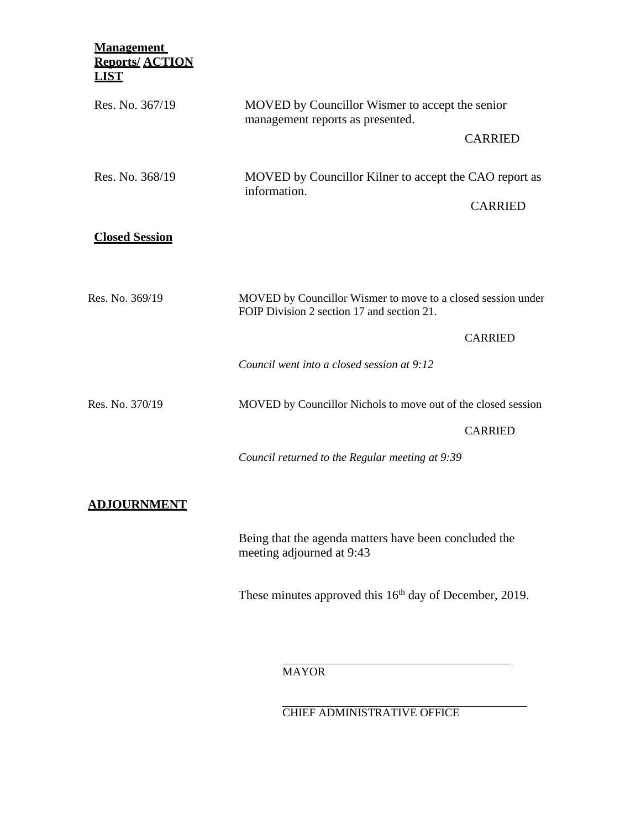| <b>Management</b><br><b>Reports/ACTION</b><br><b>LIST</b> |                                                                                                            |                |
|-----------------------------------------------------------|------------------------------------------------------------------------------------------------------------|----------------|
| Res. No. 367/19                                           | MOVED by Councillor Wismer to accept the senior<br>management reports as presented.                        |                |
|                                                           |                                                                                                            | <b>CARRIED</b> |
| Res. No. 368/19                                           | MOVED by Councillor Kilner to accept the CAO report as<br>information.                                     |                |
|                                                           |                                                                                                            | <b>CARRIED</b> |
| <b>Closed Session</b>                                     |                                                                                                            |                |
| Res. No. 369/19                                           | MOVED by Councillor Wismer to move to a closed session under<br>FOIP Division 2 section 17 and section 21. |                |
|                                                           |                                                                                                            | <b>CARRIED</b> |
|                                                           | Council went into a closed session at 9:12                                                                 |                |
| Res. No. 370/19                                           | MOVED by Councillor Nichols to move out of the closed session                                              |                |
|                                                           |                                                                                                            | <b>CARRIED</b> |
|                                                           | Council returned to the Regular meeting at 9:39                                                            |                |
| <b>ADJOURNMENT</b>                                        |                                                                                                            |                |
|                                                           | Being that the agenda matters have been concluded the<br>meeting adjourned at 9:43                         |                |
|                                                           | These minutes approved this 16 <sup>th</sup> day of December, 2019.                                        |                |
|                                                           |                                                                                                            |                |
|                                                           | <b>MAYOR</b>                                                                                               |                |

CHIEF ADMINISTRATIVE OFFICE